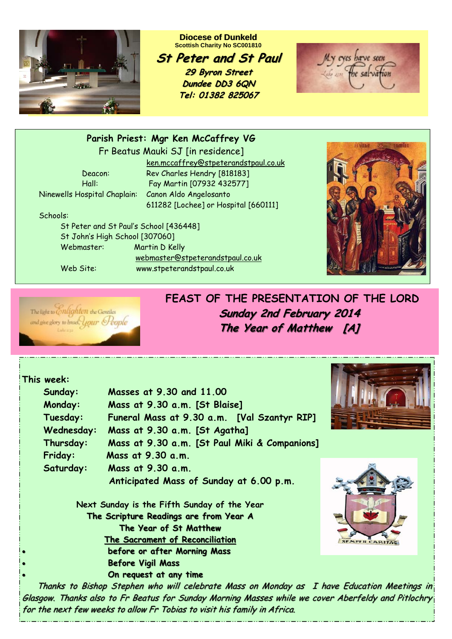

**Diocese of Dunkeld Scottish Charity No SC001810** 

**St Peter and St Paul St Peter and St 29 Byron Street 29 Byron Street Dundee DD3 6QN Tel: 01382 825067**

My eyes have seen

### **Parish Priest: Mgr Ken McCaffrey VG**

Fr Beatus Mauki SJ [in residence]

Ninewells Hospital Chaplain: Canon Aldo Angelosanto

 ken.mccaffrey@stpeterandstpaul.co.uk Deacon: Rev Charles Hendry [818183] Hall: Fay Martin [07932 432577] 611282 [Lochee] or Hospital [660111]

Schools:

 St Peter and St Paul's School [436448] St John's High School [307060] Webmaster: Martin D Kelly webmaster@stpeterandstpaul.co.uk

Web Site: www.stpeterandstpaul.co.uk





**FEAST OF THE PRESENTATION OF THE LORD Sunday 2nd February 2014 Sunday 2nd February 2014 The Year of Matthew The Year of Matthew [A]** 

### **This week:**

|           | Sunday:                                | Masses at 9.30 and 11.00                      |                      |
|-----------|----------------------------------------|-----------------------------------------------|----------------------|
|           | Monday:                                | Mass at 9.30 a.m. [St Blaise]                 |                      |
|           | Tuesday:                               | Funeral Mass at 9.30 a.m. [Val Szantyr RIP]   |                      |
|           | Wednesday:                             | Mass at 9.30 a.m. [St Agatha]                 |                      |
|           | Thursday:                              | Mass at 9.30 a.m. [St Paul Miki & Companions] |                      |
|           | Friday:                                | Mass at 9.30 a.m.                             |                      |
|           | Saturday:                              | Mass at 9.30 a.m.                             |                      |
|           |                                        | Anticipated Mass of Sunday at 6.00 p.m.       |                      |
|           |                                        | Next Sunday is the Fifth Sunday of the Year   |                      |
|           | The Scripture Readings are from Year A |                                               |                      |
|           | The Year of St Matthew                 |                                               | $\sqrt{\frac{1}{s}}$ |
|           |                                        | The Sacrament of Reconciliation               |                      |
| $\bullet$ |                                        | before or after Morning Mass                  |                      |
| $\bullet$ |                                        | <b>Before Vigil Mass</b>                      |                      |
| $\bullet$ |                                        | On request at any time                        |                      |





**Thanks to Bishop Stephen who will celebrate Mass on Monday as I have Education Meetings in** Glasgow. Thanks also to Fr Beatus for Sunday Morning Masses while we cover Aberfeldy and Pitlochry for the next few weeks to allow Fr Tobias to visit his family in Africa.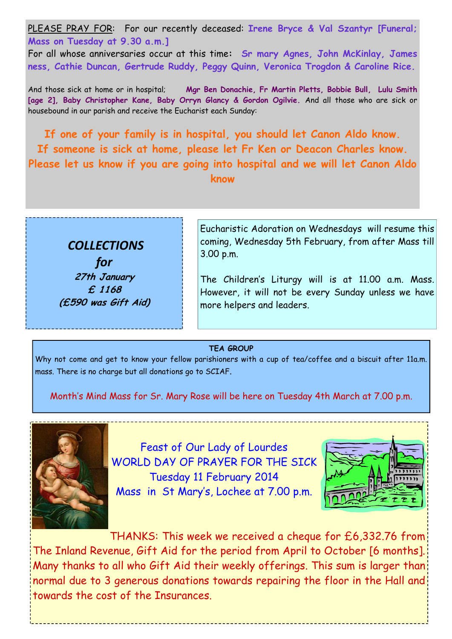PLEASE PRAY FOR: For our recently deceased: **Irene Bryce & Val Szantyr [Funeral; Mass on Tuesday at 9.30 a.m.]**  For all whose anniversaries occur at this time**: Sr mary Agnes, John McKinlay, James ness, Cathie Duncan, Gertrude Ruddy, Peggy Quinn, Veronica Trogdon & Caroline Rice.** 

And those sick at home or in hospital; **Mgr Ben Donachie, Fr Martin Pletts, Bobbie Bull, Lulu Smith [age 2], Baby Christopher Kane, Baby Orryn Glancy & Gordon Ogilvie.** And all those who are sick or housebound in our parish and receive the Eucharist each Sunday:

**If one of your family is in hospital, you should let Canon Aldo know. If someone is sick at home, please let Fr Ken or Deacon Charles know. Please let us know if you are going into hospital and we will let Canon Aldo know**



Eucharistic Adoration on Wednesdays will resume this coming, Wednesday 5th February, from after Mass till

The Children's Liturgy will is at 11.00 a.m. Mass. However, it will not be every Sunday unless we have more helpers and leaders.

#### **TEA GROUP**

Why not come and get to know your fellow parishioners with a cup of tea/coffee and a biscuit after 11a.m. mass. There is no charge but all donations go to SCIAF.

Month's Mind Mass for Sr. Mary Rose will be here on Tuesday 4th March at 7.00 p.m.



Feast of Our Lady of Lourdes WORLD DAY OF PRAYER FOR THE SICK Tuesday 11 February 2014 Mass in St Mary's, Lochee at 7.00 p.m.



THANKS: This week we received a cheque for £6,332.76 from The Inland Revenue, Gift Aid for the period from April to October [6 months]. Many thanks to all who Gift Aid their weekly offerings. This sum is larger than normal due to 3 generous donations towards repairing the floor in the Hall and towards the cost of the Insurances.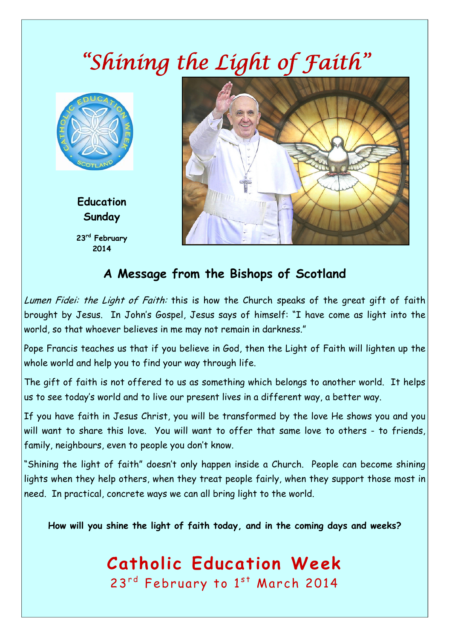## *"Shining the Light of Faith"*



**Education Sunday 23rd February 2014**



### **A Message from the Bishops of Scotland**

Lumen Fidei: the Light of Faith: this is how the Church speaks of the great gift of faith brought by Jesus. In John's Gospel, Jesus says of himself: "I have come as light into the world, so that whoever believes in me may not remain in darkness."

Pope Francis teaches us that if you believe in God, then the Light of Faith will lighten up the whole world and help you to find your way through life.

The gift of faith is not offered to us as something which belongs to another world. It helps us to see today's world and to live our present lives in a different way, a better way.

If you have faith in Jesus Christ, you will be transformed by the love He shows you and you will want to share this love. You will want to offer that same love to others - to friends, family, neighbours, even to people you don't know.

"Shining the light of faith" doesn't only happen inside a Church. People can become shining lights when they help others, when they treat people fairly, when they support those most in need. In practical, concrete ways we can all bring light to the world.

**How will you shine the light of faith today, and in the coming days and weeks?** 

# **Catholic Education Week**

23<sup>rd</sup> February to 1st March 2014